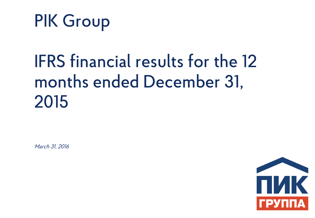

# IFRS financial results for the 12 months ended December 31, 2015

March 31, 2016

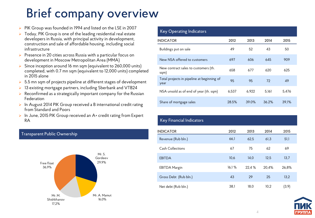# Brief company overview

- PIK Group was founded in 1994 and listed on the LSE in 2007
- $\triangleright$  Today, PIK Group is one of the leading residential real estate developers in Russia, with principal activity in development, construction and sale of affordable housing, including social infrastructure
- Presence in 20 cities across Russia with a particular focus on development in Moscow Metropolitan Area (MMA)
- Since inception around 16 mn sqm (equivalent to 260,000 units) completed, with 0.7 mn sqm (equivalent to 12,000 units) completed in 2015 alone
- $\triangleright$  5.5 mn sqm of projects pipeline at different stages of development
- ▶ 13 existing mortgage partners, including Sberbank and VTB24
- $\triangleright$  Reconfirmed as a strategically important company for the Russian Federation
- $\triangleright$  In August 2014 PIK Group received a B international credit rating from Standard and Poors
- ▶ In June, 2015 PIK Group received an A+ credit rating from Expert RA

## Transparent Public Ownership



## $K$ ey Operating Indicator

| Rey Operating indicators                           |       |       |       |       |
|----------------------------------------------------|-------|-------|-------|-------|
| <b>INDICATOR</b>                                   | 2012  | 2013  | 2014  | 2015  |
| Buildings put on sale                              | 49    | 52    | 43    | 50    |
| New NSA offered to customers                       | 697   | 606   | 645   | 909   |
| New contract sales to customers (th.<br>sqm)       | 658   | 677   | 620   | 625   |
| Total projects in pipeline at beginning of<br>year | 95    | 95    | 72    | 49    |
| NSA unsold as of end of year (th. sqm)             | 6.537 | 6.922 | 5.161 | 5.476 |
| Share of mortgage sales                            | 28.5% | 39.0% | 36.2% | 39.1% |

## Key Financial Indicators

| <b>INDICATOR</b>      | 2012  | 2013   | 2014  | 2015   |
|-----------------------|-------|--------|-------|--------|
| Revenue (Rub bln.)    | 66,1  | 62.5   | 61,3  | 51,1   |
| Cash Collections      | 67    | 75     | 62    | 69     |
| <b>EBITDA</b>         | 10.6  | 14.0   | 12.5  | 13,7   |
| <b>EBITDA Margin</b>  | 16.1% | 22.4 % | 20.4% | 26,8%  |
| Gross Debt (Rub bln.) | 43    | 29     | 25    | 13.2   |
| Net debt (Rub bln.)   | 38.1  | 18,0   | 10,2  | (3, 9) |

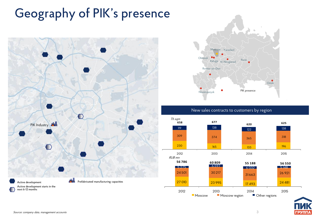# Geography of PIK's presence





## New sales contracts to customers by region



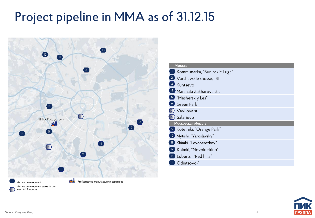# Project pipeline in MMA as of 31.12.15



| Москва                                   |
|------------------------------------------|
| I Kommunarka, "Buninskie Luga"           |
| <sup>2</sup> Varshavskie shosse, 141     |
| <b>3</b> Kuntsevo                        |
| 4 Marshala Zakharova str.                |
| <sup>5</sup> "Mesherskiy Les"            |
| <sup>6</sup> Green Park                  |
| 7) Vavilova st.                          |
| $\vert$ <sup>8</sup> $\rangle$ Salarievo |
| Московская область                       |
| <sup>9</sup> Kotelniki, "Orange Park"    |
| 10 Mytishi, "Yaroslavsky"                |
| II Khimki, "Levoberezhny"                |
| 12 Khimki, "Novokurkino"                 |
| 13 Lubertsi, "Red hills"                 |
| Odintsovo-1                              |

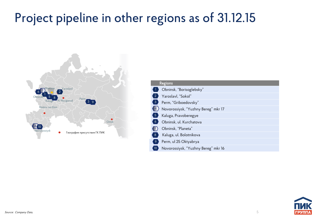# Project pipeline in other regions as of 31.12.15



| <b>Regions</b>                            |
|-------------------------------------------|
| Obninsk, "Borisoglebsky"                  |
| Yaroslavl, "Sokol"<br>$\overline{2}$      |
| 3<br>Perm, "Griboedovsky"                 |
| Novorossiysk, "Yuzhny Bereg" mkr 17       |
| $\vert 5 \rangle$<br>Kaluga, Pravoberegye |
| Obninsk, ul. Kurchatova<br>6              |
| Obninsk, "Planeta"                        |
| Kaluga, ul. Bolotnikova<br>$\sqrt{8}$     |
| Perm, ul 25 Oktyabrya<br>$\mathcal{Q}$    |
| 10<br>Novorossiysk, "Yuzhny Bereg" mkr 16 |

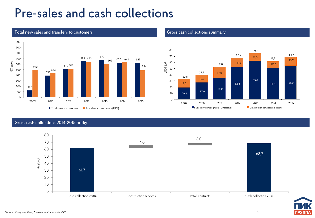# Pre-sales and cash collections



## Total new sales and transfers to customers Gross Cash collections summary



## Gross cash collections 2014-2015 bridge



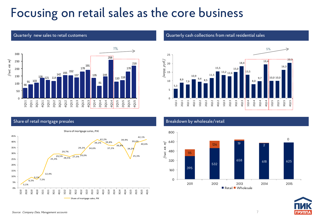# Focusing on retail sales as the core business



## Share of retail mortgage presales Breakdown by wholesale/retail



### Quarterly new sales to retail customers **Quarterly cash collections from retail residential sales**





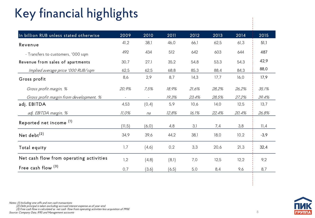# Key financial highlights

| Ney<br>Tinancial nightights             |         |        |        |       |       |       |        |
|-----------------------------------------|---------|--------|--------|-------|-------|-------|--------|
| In billion RUB unless stated otherwise  | 2009    | 2010   | 2011   | 2012  | 2013  | 2014  | 2015   |
| Revenue                                 | 41,2    | 38,1   | 46,0   | 66,1  | 62,5  | 61,3  | 51,1   |
| - Transfers to customers, '000 sqm      | 492     | 434    | 512    | 642   | 603   | 644   | 487    |
| Revenue from sales of apartments        | 30,7    | 27,1   | 35,2   | 54,8  | 53,3  | 54,3  | 42,9   |
| Implied average price '000 RUB/sqm      | 62,5    | 62,5   | 68,8   | 85,3  | 88,4  | 84,3  | 88,0   |
| Gross profit                            | 8,6     | 2,9    | 8,7    | 14,3  | 17,7  | 16,0  | 17,9   |
| Gross profit margin, %                  | 20,9%   | 7,5%   | 18,9%  | 21,6% | 28,2% | 26,2% | 35,1%  |
| Gross profit margin from development, % | $\sim$  |        | 19,3%  | 23,4% | 28,5% | 27,2% | 39,4%  |
| adj. EBITDA                             | 4,53    | (0, 4) | 5,9    | 10,6  | 14,0  | 12,5  | 13,7   |
| adj. EBITDA margin, %                   | 11,0%   | na     | 12,8%  | 16,1% | 22,4% | 20,4% | 26,8%  |
| Reported net income <sup>(1)</sup>      | (11, 5) | (6, 0) | 4,8    | 3,1   | 7,4   | 3,8   | 11,4   |
| Net debt <sup>(2)</sup>                 | 34,9    | 39,6   | 44,2   | 38,1  | 18,0  | 10,2  | $-3,9$ |
| Total equity                            | 1,7     | (4,6)  | 0,2    | 3,3   | 20,6  | 21,3  | 32,4   |
| Net cash flow from operating activities | 1,2     | (4, 8) | (8,1)  | 7,0   | 12,5  | 12,2  | 9,2    |
| Free cash flow (3)                      | 0,7     | (3,6)  | (6, 5) | 5,0   | 8,4   | 9,6   | 8,7    |

Notes: (1) Including one-offs and non cash transactions

(2) Debt principal is taken excluding accrued interest expense as of year-end.

 $(3)$  Free cash flow is calculated as net cash flow from operating activities less acquisition of PP&E

Source: Company Data, IFRS and Management accounts 80 university personalization of the company Data, IFRS and Management accounts 8

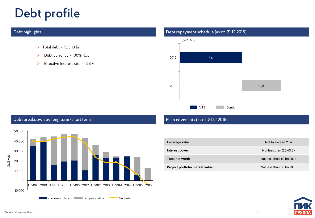# Debt profile

- $\triangleright$  Total debt RUB 13 bn
- ▶ Debt currency 100% RUB
- $\blacktriangleright$  Effective interest rate 13,8%

## Debt highlights Debt repayment schedule (as of 31.12.2015)



## Debt breakdown by long term/short term Main covenants (as of 31.12.2015)



| Leverage ratio                 | Not to exceed 2.0x        |
|--------------------------------|---------------------------|
| Interest cover                 | Not less than $2.5x/3.5x$ |
| <b>Total net worth</b>         | Not less than 10 bn RUB   |
| Project portfolio market value | Not less than 60 bn RUB   |